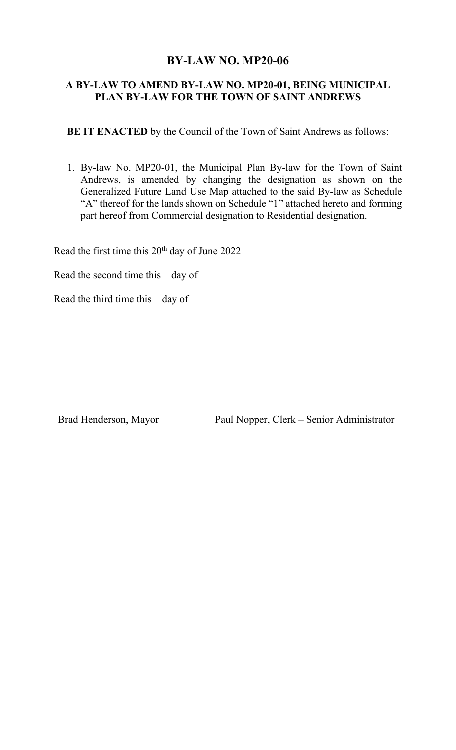## **BY-LAW NO. MP20-06**

## **A BY-LAW TO AMEND BY-LAW NO. MP20-01, BEING MUNICIPAL PLAN BY-LAW FOR THE TOWN OF SAINT ANDREWS**

 **BE IT ENACTED** by the Council of the Town of Saint Andrews as follows:

1. By-law No. MP20-01, the Municipal Plan By-law for the Town of Saint Andrews, is amended by changing the designation as shown on the Generalized Future Land Use Map attached to the said By-law as Schedule "A" thereof for the lands shown on Schedule "1" attached hereto and forming part hereof from Commercial designation to Residential designation.

Read the first time this 20<sup>th</sup> day of June 2022

Read the second time this day of

Read the third time this day of

Brad Henderson, Mayor Paul Nopper, Clerk – Senior Administrator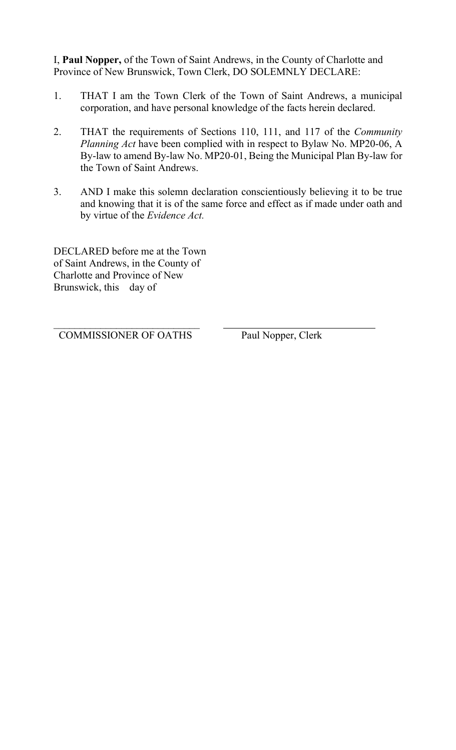I, **Paul Nopper,** of the Town of Saint Andrews, in the County of Charlotte and Province of New Brunswick, Town Clerk, DO SOLEMNLY DECLARE:

- 1. THAT I am the Town Clerk of the Town of Saint Andrews, a municipal corporation, and have personal knowledge of the facts herein declared.
- 2. THAT the requirements of Sections 110, 111, and 117 of the *Community Planning Act* have been complied with in respect to Bylaw No. MP20-06, A By-law to amend By-law No. MP20-01, Being the Municipal Plan By-law for the Town of Saint Andrews.
- 3. AND I make this solemn declaration conscientiously believing it to be true and knowing that it is of the same force and effect as if made under oath and by virtue of the *Evidence Act.*

DECLARED before me at the Town of Saint Andrews, in the County of Charlotte and Province of New Brunswick, this day of

 $\overline{\phantom{a}}$ COMMISSIONER OF OATHS Paul Nopper, Clerk